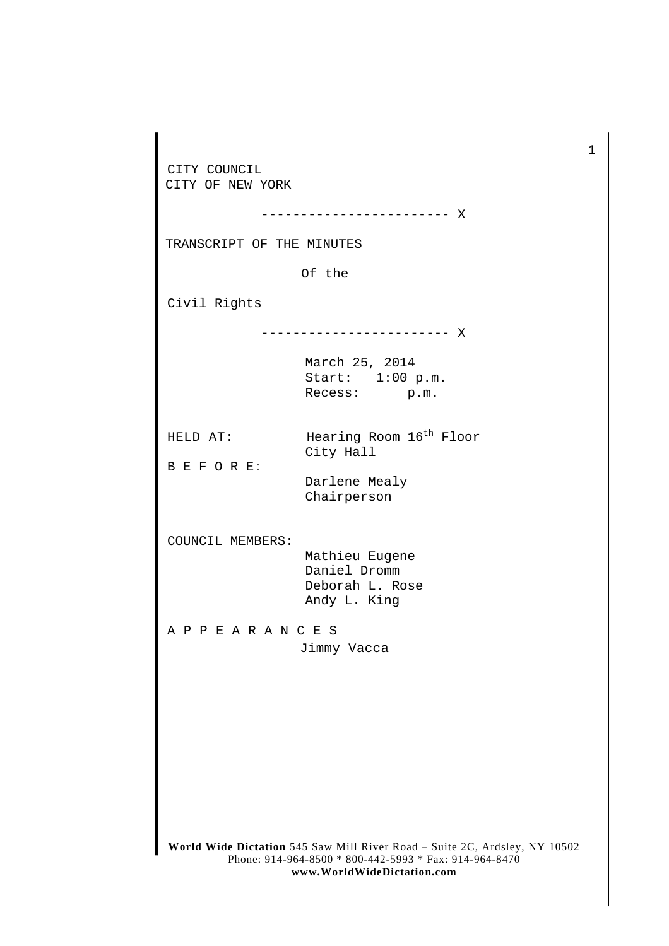**World Wide Dictation** 545 Saw Mill River Road – Suite 2C, Ardsley, NY 10502 Phone: 914-964-8500 \* 800-442-5993 \* Fax: 914-964-8470 CITY COUNCIL CITY OF NEW YORK ------------------------ X TRANSCRIPT OF THE MINUTES Of the Civil Rights ------------------------ X March 25, 2014 Start: 1:00 p.m. Recess: p.m. HELD AT: Hearing Room  $16<sup>th</sup>$  Floor City Hall B E F O R E: Darlene Mealy Chairperson COUNCIL MEMBERS: Mathieu Eugene Daniel Dromm Deborah L. Rose Andy L. King A P P E A R A N C E S Jimmy Vacca

1

**www.WorldWideDictation.com**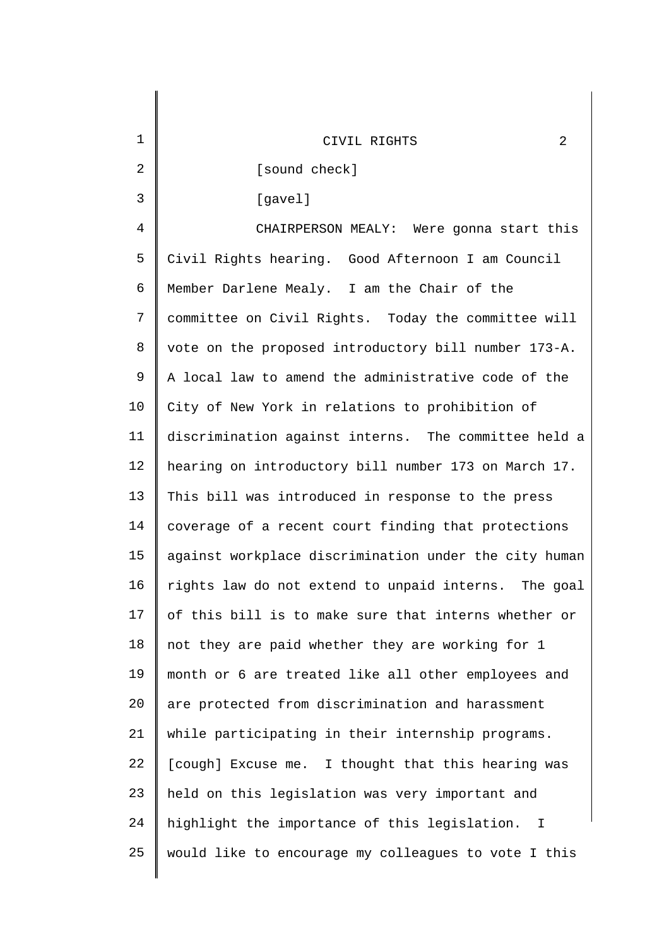| 1       | 2<br>CIVIL RIGHTS                                             |
|---------|---------------------------------------------------------------|
| 2       | [sound check]                                                 |
| 3       | [gavel]                                                       |
| 4       | CHAIRPERSON MEALY: Were gonna start this                      |
| 5       | Civil Rights hearing. Good Afternoon I am Council             |
| 6       | Member Darlene Mealy. I am the Chair of the                   |
| 7       | committee on Civil Rights. Today the committee will           |
| $\,8\,$ | vote on the proposed introductory bill number 173-A.          |
| 9       | A local law to amend the administrative code of the           |
| 10      | City of New York in relations to prohibition of               |
| 11      | discrimination against interns. The committee held a          |
| 12      | hearing on introductory bill number 173 on March 17.          |
| 13      | This bill was introduced in response to the press             |
| 14      | coverage of a recent court finding that protections           |
| 15      | against workplace discrimination under the city human         |
| 16      | rights law do not extend to unpaid interns.<br>The goal       |
| 17      | of this bill is to make sure that interns whether or          |
| 18      | not they are paid whether they are working for 1              |
| 19      | month or 6 are treated like all other employees and           |
| 20      | are protected from discrimination and harassment              |
| 21      | while participating in their internship programs.             |
| 22      | [cough] Excuse me. I thought that this hearing was            |
| 23      | held on this legislation was very important and               |
| 24      | highlight the importance of this legislation.<br>$\mathbb{I}$ |
| 25      | would like to encourage my colleagues to vote I this          |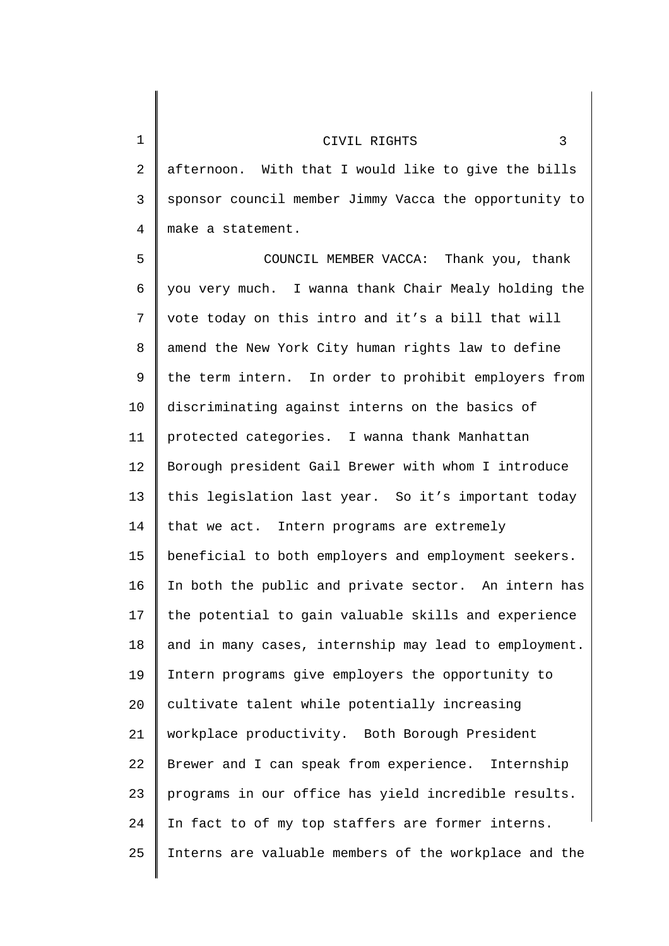2 3 4 5 6 7 8 9 10 11 12 13 14 15 16 17 18 19 20 21 22 23 24 afternoon. With that I would like to give the bills sponsor council member Jimmy Vacca the opportunity to make a statement. COUNCIL MEMBER VACCA: Thank you, thank you very much. I wanna thank Chair Mealy holding the vote today on this intro and it's a bill that will amend the New York City human rights law to define the term intern. In order to prohibit employers from discriminating against interns on the basics of protected categories. I wanna thank Manhattan Borough president Gail Brewer with whom I introduce this legislation last year. So it's important today that we act. Intern programs are extremely beneficial to both employers and employment seekers. In both the public and private sector. An intern has the potential to gain valuable skills and experience and in many cases, internship may lead to employment. Intern programs give employers the opportunity to cultivate talent while potentially increasing workplace productivity. Both Borough President Brewer and I can speak from experience. Internship programs in our office has yield incredible results. In fact to of my top staffers are former interns.

Interns are valuable members of the workplace and the

CIVIL RIGHTS 3

1

25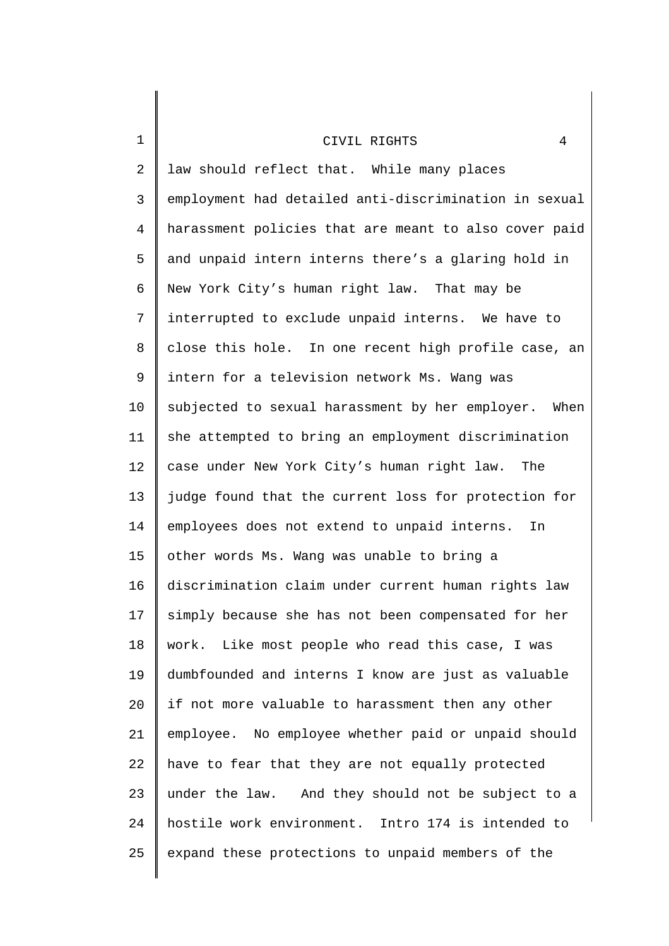| $\mathbf 1$    | 4<br>CIVIL RIGHTS                                     |
|----------------|-------------------------------------------------------|
| $\overline{2}$ | law should reflect that. While many places            |
| 3              | employment had detailed anti-discrimination in sexual |
| 4              | harassment policies that are meant to also cover paid |
| 5              | and unpaid intern interns there's a glaring hold in   |
| 6              | New York City's human right law. That may be          |
| 7              | interrupted to exclude unpaid interns. We have to     |
| 8              | close this hole. In one recent high profile case, an  |
| 9              | intern for a television network Ms. Wang was          |
| 10             | subjected to sexual harassment by her employer. When  |
| 11             | she attempted to bring an employment discrimination   |
| 12             | case under New York City's human right law. The       |
| 13             | judge found that the current loss for protection for  |
| 14             | employees does not extend to unpaid interns.<br>In    |
| 15             | other words Ms. Wang was unable to bring a            |
| 16             | discrimination claim under current human rights law   |
| 17             | simply because she has not been compensated for her   |
| 18             | work. Like most people who read this case, I was      |
| 19             | dumbfounded and interns I know are just as valuable   |
| 20             | if not more valuable to harassment then any other     |
| 21             | employee. No employee whether paid or unpaid should   |
| 22             | have to fear that they are not equally protected      |
| 23             | under the law. And they should not be subject to a    |
| 24             | hostile work environment. Intro 174 is intended to    |
| 25             | expand these protections to unpaid members of the     |
|                |                                                       |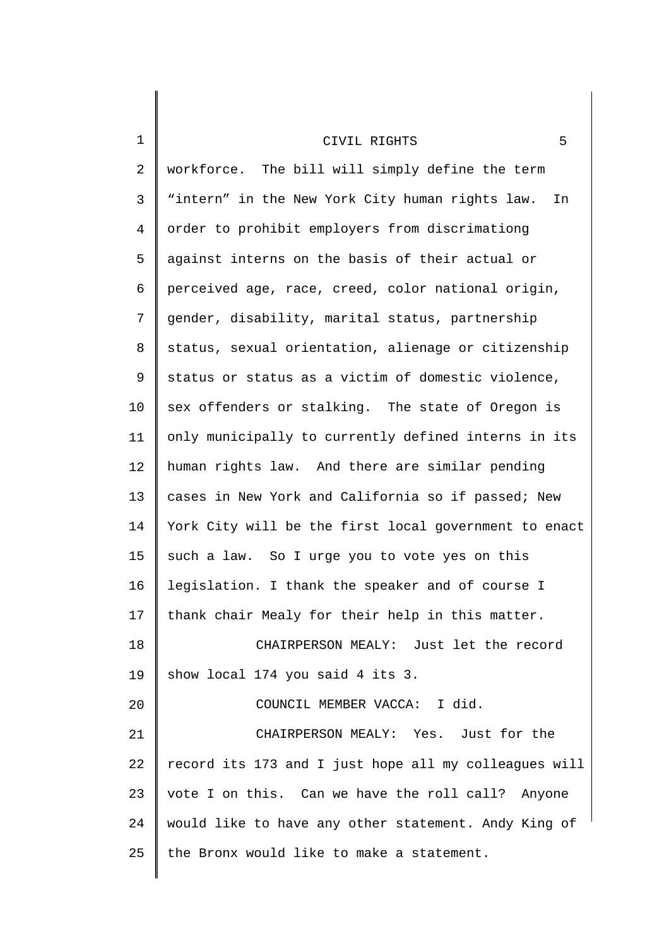| $\mathbf 1$    | 5<br>CIVIL RIGHTS                                     |
|----------------|-------------------------------------------------------|
| $\overline{2}$ | workforce. The bill will simply define the term       |
| 3              | "intern" in the New York City human rights law.<br>In |
| 4              | order to prohibit employers from discrimationg        |
| 5              | against interns on the basis of their actual or       |
| 6              | perceived age, race, creed, color national origin,    |
| 7              | gender, disability, marital status, partnership       |
| 8              | status, sexual orientation, alienage or citizenship   |
| 9              | status or status as a victim of domestic violence,    |
| 10             | sex offenders or stalking. The state of Oregon is     |
| 11             | only municipally to currently defined interns in its  |
| 12             | human rights law. And there are similar pending       |
| 13             | cases in New York and California so if passed; New    |
| 14             | York City will be the first local government to enact |
| 15             | such a law. So I urge you to vote yes on this         |
| 16             | legislation. I thank the speaker and of course I      |
| 17             | thank chair Mealy for their help in this matter.      |
| 18             | CHAIRPERSON MEALY: Just let the record                |
| 19             | show local 174 you said 4 its 3.                      |
| 20             | COUNCIL MEMBER VACCA: I did.                          |
| 21             | CHAIRPERSON MEALY: Yes. Just for the                  |
| 22             | record its 173 and I just hope all my colleagues will |
| 23             | vote I on this. Can we have the roll call? Anyone     |
| 24             | would like to have any other statement. Andy King of  |
| 25             | the Bronx would like to make a statement.             |
|                |                                                       |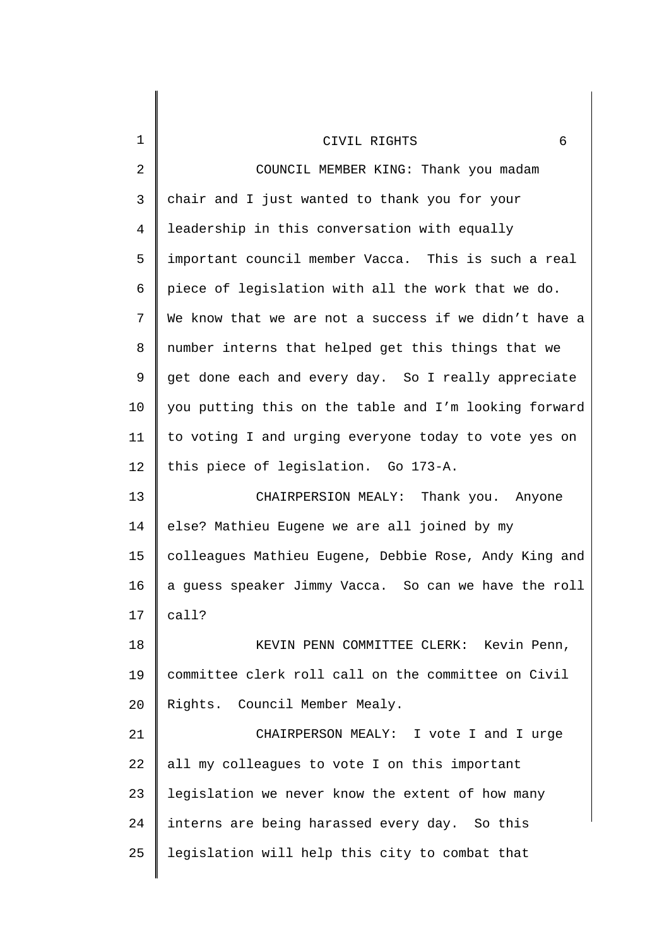| $\mathbf 1$  | 6<br>CIVIL RIGHTS                                     |
|--------------|-------------------------------------------------------|
| 2            | COUNCIL MEMBER KING: Thank you madam                  |
| $\mathsf{3}$ | chair and I just wanted to thank you for your         |
| 4            | leadership in this conversation with equally          |
| 5            | important council member Vacca. This is such a real   |
| 6            | piece of legislation with all the work that we do.    |
| 7            | We know that we are not a success if we didn't have a |
| 8            | number interns that helped get this things that we    |
| 9            | get done each and every day. So I really appreciate   |
| 10           | you putting this on the table and I'm looking forward |
| 11           | to voting I and urging everyone today to vote yes on  |
| 12           | this piece of legislation. Go 173-A.                  |
| 13           | CHAIRPERSION MEALY: Thank you. Anyone                 |
| 14           | else? Mathieu Eugene we are all joined by my          |
| 15           | colleagues Mathieu Eugene, Debbie Rose, Andy King and |
| 16           | a guess speaker Jimmy Vacca. So can we have the roll  |
| 17           | call?                                                 |
| 18           | KEVIN PENN COMMITTEE CLERK: Kevin Penn,               |
| 19           | committee clerk roll call on the committee on Civil   |
| 20           | Rights. Council Member Mealy.                         |
| 21           | CHAIRPERSON MEALY: I vote I and I urge                |
| 22           | all my colleagues to vote I on this important         |
| 23           | legislation we never know the extent of how many      |
| 24           | interns are being harassed every day. So this         |
| 25           | legislation will help this city to combat that        |
|              |                                                       |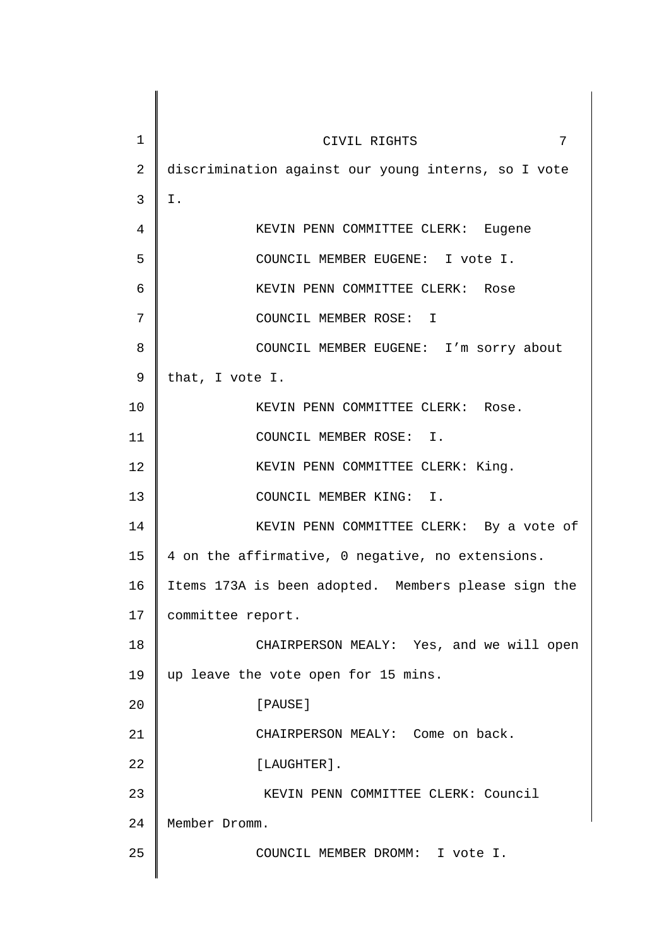| $\mathbf 1$     | 7<br>CIVIL RIGHTS                                   |
|-----------------|-----------------------------------------------------|
| $\overline{2}$  | discrimination against our young interns, so I vote |
| $\mathsf{3}$    | Ι.                                                  |
| 4               | KEVIN PENN COMMITTEE CLERK: Eugene                  |
| 5               | COUNCIL MEMBER EUGENE: I vote I.                    |
| 6               | KEVIN PENN COMMITTEE CLERK: Rose                    |
| 7               | COUNCIL MEMBER ROSE: I                              |
| 8               | COUNCIL MEMBER EUGENE: I'm sorry about              |
| 9               | that, I vote I.                                     |
| 10              | KEVIN PENN COMMITTEE CLERK: Rose.                   |
| 11              | COUNCIL MEMBER ROSE: I.                             |
| 12              | KEVIN PENN COMMITTEE CLERK: King.                   |
| 13              | COUNCIL MEMBER KING: I.                             |
| 14              | KEVIN PENN COMMITTEE CLERK: By a vote of            |
| 15 <sub>1</sub> | 4 on the affirmative, 0 negative, no extensions.    |
| 16              | Items 173A is been adopted. Members please sign the |
| 17              | committee report.                                   |
| 18              | CHAIRPERSON MEALY: Yes, and we will open            |
| 19              | up leave the vote open for 15 mins.                 |
| 20              | [PAUSE]                                             |
| 21              | CHAIRPERSON MEALY: Come on back.                    |
| 22              | [LAUGHTER].                                         |
| 23              | KEVIN PENN COMMITTEE CLERK: Council                 |
| 24              | Member Dromm.                                       |
| 25              | COUNCIL MEMBER DROMM: I vote I.                     |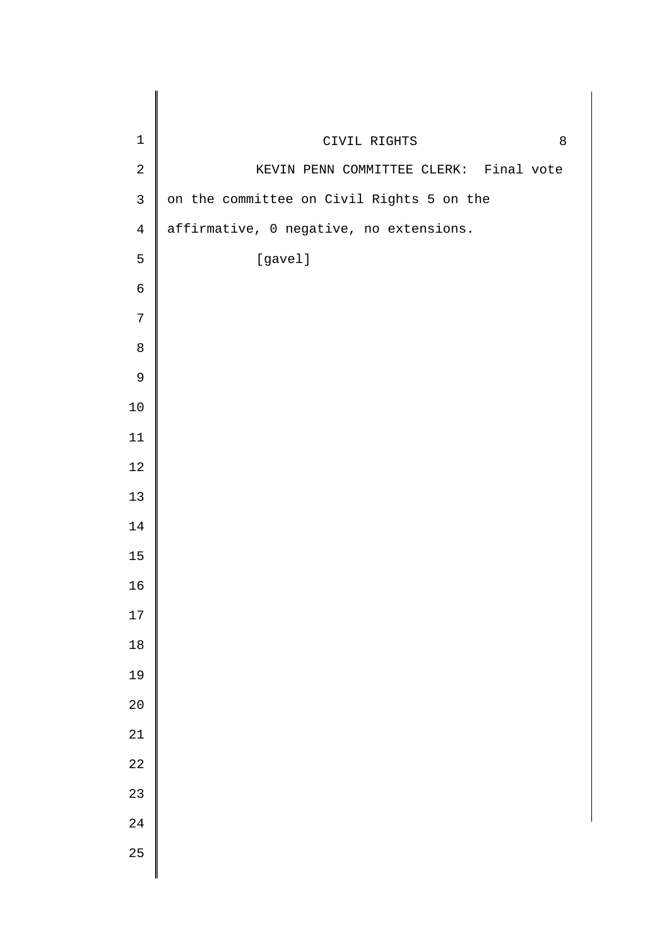| $\mathbf 1$ | CIVIL RIGHTS<br>8                         |
|-------------|-------------------------------------------|
| $\sqrt{2}$  | KEVIN PENN COMMITTEE CLERK: Final vote    |
| $\mathsf 3$ | on the committee on Civil Rights 5 on the |
| $\,4$       | affirmative, 0 negative, no extensions.   |
| 5           | [gavel]                                   |
| $\epsilon$  |                                           |
| $\sqrt{ }$  |                                           |
| $\,8\,$     |                                           |
| $\mathsf 9$ |                                           |
| $10\,$      |                                           |
| $11\,$      |                                           |
| $1\,2$      |                                           |
| 13          |                                           |
| $14\,$      |                                           |
| $15\,$      |                                           |
| 16          |                                           |
| 17          |                                           |
| 18          |                                           |
| 19          |                                           |
| 20          |                                           |
| 21          |                                           |
| 22          |                                           |
| 23          |                                           |
| 24          |                                           |
| 25          |                                           |
|             |                                           |